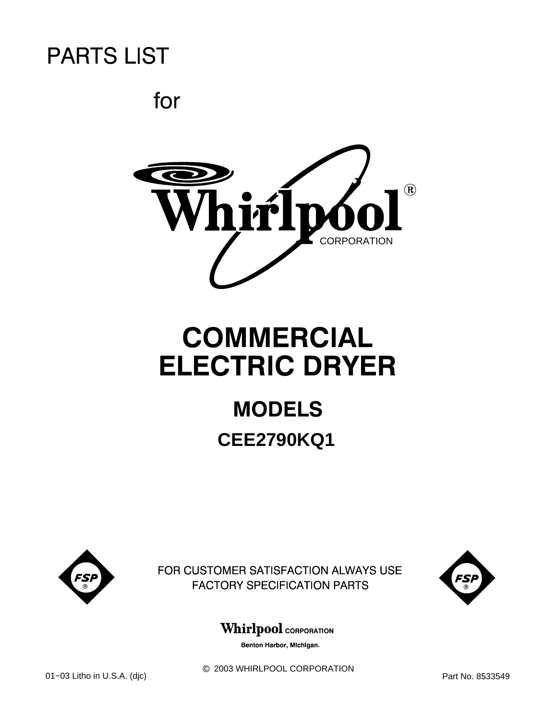for



# **COMMERCIAL ELECTRIC DRYER**

# **MODELS CEE2790KQ1**



FOR CUSTOMER SATISFACTION ALWAYS USE **FACTORY SPECIFICATION PARTS** 



## **Whirlpool** CORPORATION

Benton Harbor, Michigan.

 $@$  2003 WHIRLPOOL CORPORATION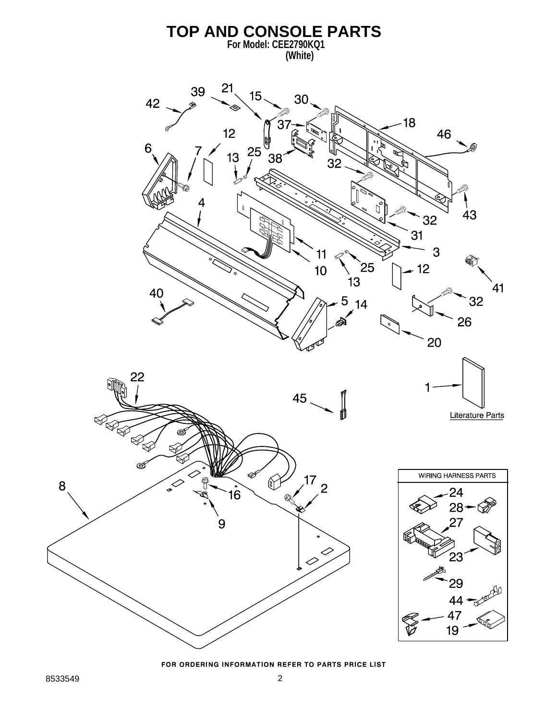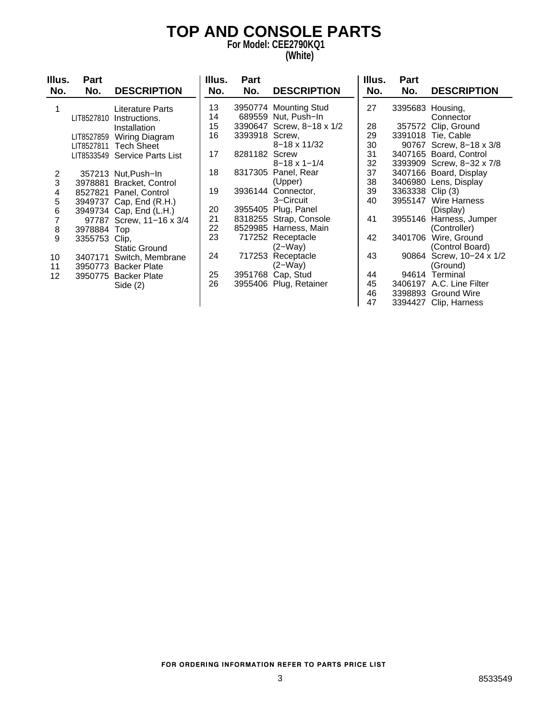# **TOP AND CONSOLE PARTS**

**For Model: CEE2790KQ1 (White)**

| Illus.          | Part          |                           | Illus. | Part           |                           | Illus. | Part             |                           |
|-----------------|---------------|---------------------------|--------|----------------|---------------------------|--------|------------------|---------------------------|
| No.             | No.           | <b>DESCRIPTION</b>        | No.    | No.            | <b>DESCRIPTION</b>        | No.    | No.              | <b>DESCRIPTION</b>        |
|                 |               | Literature Parts          | 13     |                | 3950774 Mounting Stud     | 27     |                  | 3395683 Housing,          |
|                 | LIT8527810    | Instructions.             | 14     |                | 689559 Nut, Push-In       |        |                  | Connector                 |
|                 |               | Installation              | 15     |                | 3390647 Screw, 8-18 x 1/2 | 28     |                  | 357572 Clip, Ground       |
|                 | LIT8527859    | Wiring Diagram            | 16     | 3393918 Screw, |                           | 29     |                  | 3391018 Tie, Cable        |
|                 | LIT8527811    | <b>Tech Sheet</b>         |        |                | $8 - 18 \times 11/32$     | 30     |                  | 90767 Screw, 8-18 x 3/8   |
|                 | LIT8533549    | <b>Service Parts List</b> | 17     | 8281182 Screw  |                           | 31     |                  | 3407165 Board, Control    |
|                 |               |                           |        |                | $8 - 18 \times 1 - 1/4$   | 32     |                  | 3393909 Screw, 8-32 x 7/8 |
| 2               |               | 357213 Nut, Push-In       | 18     |                | 8317305 Panel, Rear       | 37     |                  | 3407166 Board, Display    |
| 3               | 3978881       | Bracket, Control          |        |                | (Upper)                   | 38     |                  | 3406980 Lens, Display     |
| 4               |               | 8527821 Panel, Control    | 19     |                | 3936144 Connector,        | 39     | 3363338 Clip (3) |                           |
| 5               |               | 3949737 Cap, End (R.H.)   |        |                | 3-Circuit                 | 40     |                  | 3955147 Wire Harness      |
| 6               |               | 3949734 Cap, End (L.H.)   | 20     |                | 3955405 Plug, Panel       |        |                  | (Display)                 |
| 7               |               | 97787 Screw, 11-16 x 3/4  | 21     |                | 8318255 Strap, Console    | 41     | 3955146          | Harness, Jumper           |
| $\bf8$          | 3978884 Top   |                           | 22     |                | 8529985 Harness, Main     |        |                  | (Controller)              |
| 9               | 3355753 Clip, |                           | 23     |                | 717252 Receptacle         | 42     | 3401706          | Wire, Ground              |
|                 |               | <b>Static Ground</b>      |        |                | $(2-Way)$                 |        |                  | (Control Board)           |
| 10              | 3407171       | Switch, Membrane          | 24     |                | 717253 Receptacle         | 43     |                  | 90864 Screw, 10-24 x 1/2  |
| 11              |               | 3950773 Backer Plate      |        |                | $(2-Way)$                 |        |                  | (Ground)                  |
| 12 <sup>2</sup> |               | 3950775 Backer Plate      | 25     |                | 3951768 Cap, Stud         | 44     |                  | 94614 Terminal            |
|                 |               | Side $(2)$                | 26     |                | 3955406 Plug, Retainer    | 45     |                  | 3406197 A.C. Line Filter  |
|                 |               |                           |        |                |                           | 46     |                  | 3398893 Ground Wire       |
|                 |               |                           |        |                |                           | 47     |                  | 3394427 Clip, Harness     |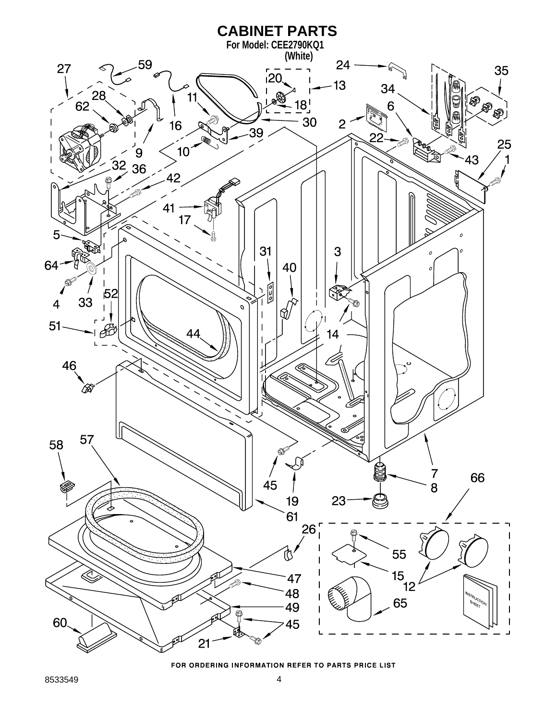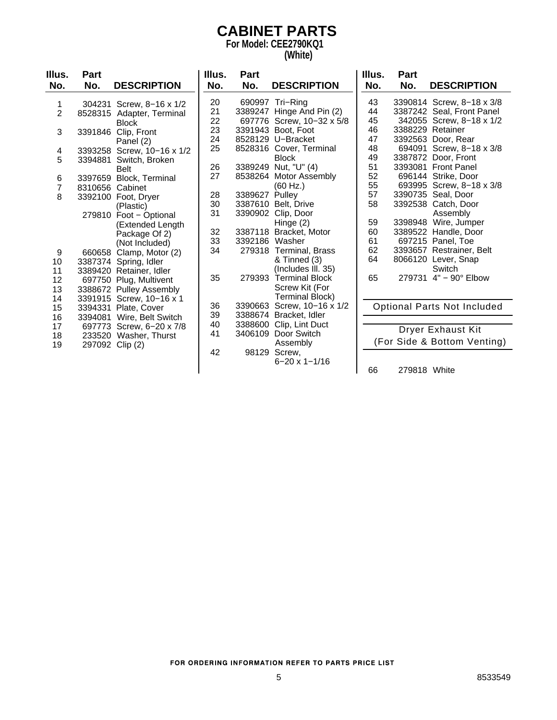### **CABINET PARTS For Model: CEE2790KQ1**

**(White)**

| Illus.         | <b>Part</b>     |                            | Illus. | <b>Part</b>    |                           | Illus. | <b>Part</b>  |                             |
|----------------|-----------------|----------------------------|--------|----------------|---------------------------|--------|--------------|-----------------------------|
| No.            | No.             | <b>DESCRIPTION</b>         | No.    | No.            | <b>DESCRIPTION</b>        | No.    | No.          | <b>DESCRIPTION</b>          |
| 1              |                 | 304231 Screw, 8-16 x 1/2   | 20     |                | 690997 Tri-Ring           | 43     |              | 3390814 Screw, 8-18 x 3/8   |
| $\overline{2}$ |                 | 8528315 Adapter, Terminal  | 21     |                | 3389247 Hinge And Pin (2) | 44     |              | 3387242 Seal, Front Panel   |
|                |                 | <b>Block</b>               | 22     |                | 697776 Screw, 10-32 x 5/8 | 45     |              | 342055 Screw, 8-18 x 1/2    |
| 3              |                 | 3391846 Clip, Front        | 23     |                | 3391943 Boot, Foot        | 46     |              | 3388229 Retainer            |
|                |                 | Panel (2)                  | 24     |                | 8528129 U-Bracket         | 47     |              | 3392563 Door, Rear          |
| 4              |                 | 3393258 Screw, 10-16 x 1/2 | 25     |                | 8528316 Cover, Terminal   | 48     |              | 694091 Screw, 8-18 x 3/8    |
| 5              |                 | 3394881 Switch, Broken     |        |                | <b>Block</b>              | 49     |              | 3387872 Door, Front         |
|                |                 | <b>Belt</b>                | 26     |                | 3389249 Nut, "U" (4)      | 51     |              | 3393081 Front Panel         |
| 6              |                 | 3397659 Block, Terminal    | 27     |                | 8538264 Motor Assembly    | 52     |              | 696144 Strike, Door         |
| 7              | 8310656 Cabinet |                            |        |                | (60 Hz.)                  | 55     |              | 693995 Screw, 8-18 x 3/8    |
| 8              |                 | 3392100 Foot, Dryer        | 28     | 3389627 Pulley |                           | 57     |              | 3390735 Seal, Door          |
|                |                 | (Plastic)                  | 30     |                | 3387610 Belt, Drive       | 58     |              | 3392538 Catch, Door         |
|                |                 | 279810 Foot - Optional     | 31     |                | 3390902 Clip, Door        |        |              | Assembly                    |
|                |                 | (Extended Length           |        |                | Hinge (2)                 | 59     |              | 3398948 Wire, Jumper        |
|                |                 | Package Of 2)              | 32     |                | 3387118 Bracket, Motor    | 60     |              | 3389522 Handle, Door        |
|                |                 | (Not Included)             | 33     | 3392186 Washer |                           | 61     |              | 697215 Panel, Toe           |
| 9              |                 | 660658 Clamp, Motor (2)    | 34     |                | 279318 Terminal, Brass    | 62     |              | 3393657 Restrainer, Belt    |
| 10             |                 | 3387374 Spring, Idler      |        |                | & Tinned (3)              | 64     |              | 8066120 Lever, Snap         |
| 11             |                 | 3389420 Retainer, Idler    |        |                | (Includes III. 35)        |        |              | Switch                      |
| 12             |                 | 697750 Plug, Multivent     | 35     | 279393         | <b>Terminal Block</b>     | 65     |              | 279731 4" - 90° Elbow       |
| 13             |                 | 3388672 Pulley Assembly    |        |                | Screw Kit (For            |        |              |                             |
| 14             |                 | 3391915 Screw, 10-16 x 1   |        |                | <b>Terminal Block)</b>    |        |              |                             |
| 15             |                 | 3394331 Plate, Cover       | 36     | 3390663        | Screw, 10-16 x 1/2        |        |              | Optional Parts Not Included |
| 16             |                 | 3394081 Wire, Belt Switch  | 39     | 3388674        | Bracket, Idler            |        |              |                             |
| 17             |                 | 697773 Screw, 6-20 x 7/8   | 40     |                | 3388600 Clip, Lint Duct   |        |              |                             |
| 18             |                 | 233520 Washer, Thurst      | 41     |                | 3406109 Door Switch       |        |              | Dryer Exhaust Kit           |
| 19             |                 | 297092 Clip (2)            |        |                | Assembly                  |        |              | (For Side & Bottom Venting) |
|                |                 |                            | 42     |                | 98129 Screw,              |        |              |                             |
|                |                 |                            |        |                | $6 - 20 \times 1 - 1/16$  |        |              |                             |
|                |                 |                            |        |                |                           | 66     | 279818 White |                             |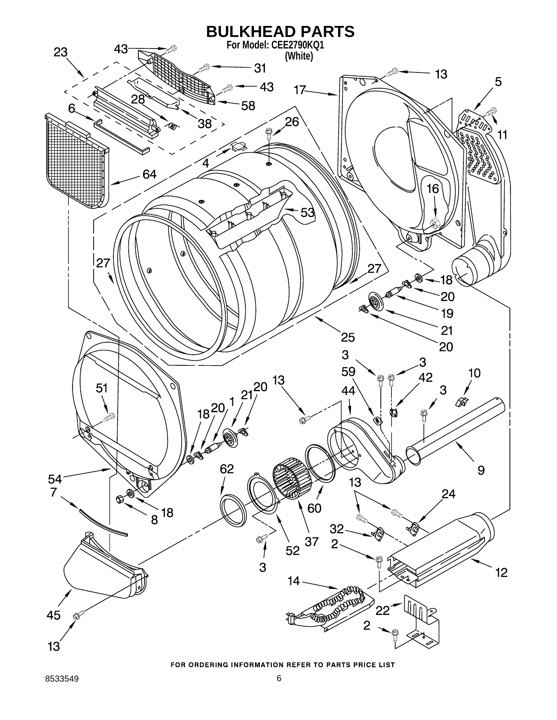